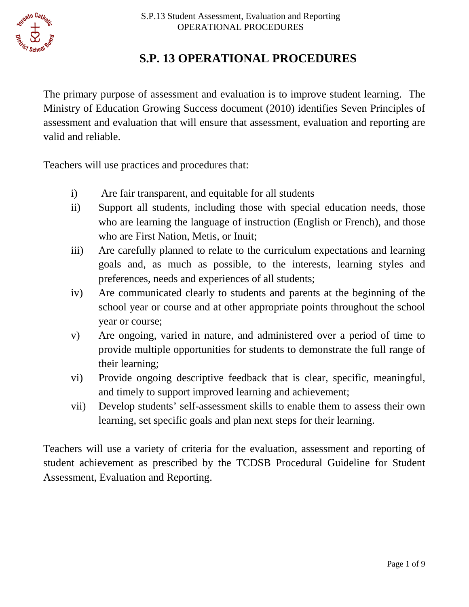# **S.P. 13 OPERATIONAL PROCEDURES**

 The primary purpose of assessment and evaluation is to improve student learning. The valid and reliable. Ministry of Education Growing Success document (2010) identifies Seven Principles of assessment and evaluation that will ensure that assessment, evaluation and reporting are

Teachers will use practices and procedures that:

- i) Are fair transparent, and equitable for all students
- who are learning the language of instruction (English or French), and those ii) Support all students, including those with special education needs, those who are First Nation, Metis, or Inuit;
- iii) Are carefully planned to relate to the curriculum expectations and learning goals and, as much as possible, to the interests, learning styles and preferences, needs and experiences of all students;
- school year or course and at other appropriate points throughout the school iv) Are communicated clearly to students and parents at the beginning of the year or course;
- provide multiple opportunities for students to demonstrate the full range of v) Are ongoing, varied in nature, and administered over a period of time to their learning;
- vi) Provide ongoing descriptive feedback that is clear, specific, meaningful, and timely to support improved learning and achievement;
- vii) Develop students' self-assessment skills to enable them to assess their own learning, set specific goals and plan next steps for their learning.

Teachers will use a variety of criteria for the evaluation, assessment and reporting of student achievement as prescribed by the TCDSB Procedural Guideline for Student Assessment, Evaluation and Reporting.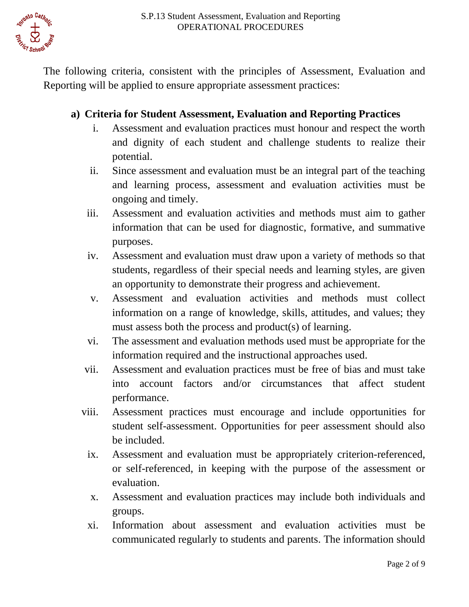

The following criteria, consistent with the principles of Assessment, Evaluation and Reporting will be applied to ensure appropriate assessment practices:

#### **a) Criteria for Student Assessment, Evaluation and Reporting Practices**

- i. Assessment and evaluation practices must honour and respect the worth and dignity of each student and challenge students to realize their potential.
- ii. Since assessment and evaluation must be an integral part of the teaching and learning process, assessment and evaluation activities must be ongoing and timely.
- information that can be used for diagnostic, formative, and summative iii. Assessment and evaluation activities and methods must aim to gather purposes.
- iv. Assessment and evaluation must draw upon a variety of methods so that students, regardless of their special needs and learning styles, are given an opportunity to demonstrate their progress and achievement.
- v. Assessment and evaluation activities and methods must collect information on a range of knowledge, skills, attitudes, and values; they must assess both the process and product(s) of learning.
- vi. The assessment and evaluation methods used must be appropriate for the information required and the instructional approaches used.
- vii. Assessment and evaluation practices must be free of bias and must take into account factors and/or circumstances that affect student performance.
- viii. Assessment practices must encourage and include opportunities for student self-assessment. Opportunities for peer assessment should also be included.
	- ix. Assessment and evaluation must be appropriately criterion-referenced, or self-referenced, in keeping with the purpose of the assessment or evaluation.
	- x. Assessment and evaluation practices may include both individuals and groups.
	- xi. Information about assessment and evaluation activities must be communicated regularly to students and parents. The information should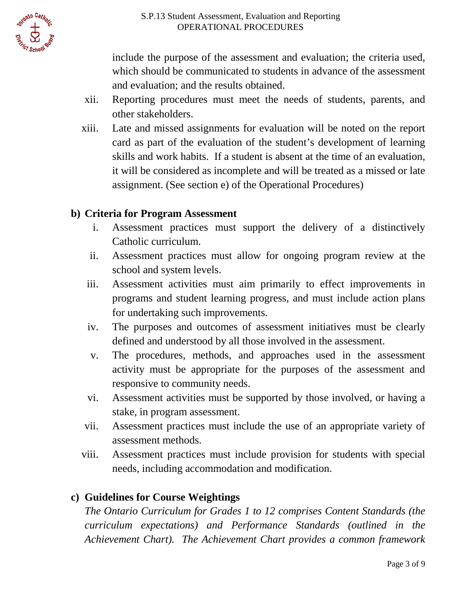

include the purpose of the assessment and evaluation; the criteria used, which should be communicated to students in advance of the assessment and evaluation; and the results obtained.

- xii. Reporting procedures must meet the needs of students, parents, and other stakeholders.
- card as part of the evaluation of the student's development of learning skills and work habits. If a student is absent at the time of an evaluation, assignment. (See section e) of the Operational Procedures) xiii. Late and missed assignments for evaluation will be noted on the report it will be considered as incomplete and will be treated as a missed or late

### **b) Criteria for Program Assessment**

- i. Assessment practices must support the delivery of a distinctively Catholic curriculum.
- ii. Assessment practices must allow for ongoing program review at the school and system levels.
- iii. Assessment activities must aim primarily to effect improvements in programs and student learning progress, and must include action plans for undertaking such improvements.
- iv. The purposes and outcomes of assessment initiatives must be clearly defined and understood by all those involved in the assessment.
- activity must be appropriate for the purposes of the assessment and v. The procedures, methods, and approaches used in the assessment responsive to community needs.
- vi. Assessment activities must be supported by those involved, or having a stake, in program assessment.
- vii. Assessment practices must include the use of an appropriate variety of assessment methods.
- viii. Assessment practices must include provision for students with special needs, including accommodation and modification.

#### **c) Guidelines for Course Weightings**

 *Achievement Chart). The Achievement Chart provides a common framework The Ontario Curriculum for Grades 1 to 12 comprises Content Standards (the curriculum expectations) and Performance Standards (outlined in the*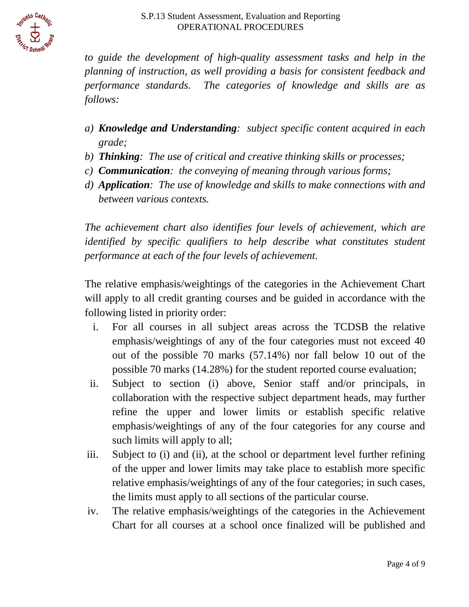

to guide the development of high-quality assessment tasks and help in the *planning of instruction, as well providing a basis for consistent feedback and performance standards. The categories of knowledge and skills are as follows:* 

- *a) Knowledge and Understanding: subject specific content acquired in each grade;*
- *b) Thinking: The use of critical and creative thinking skills or processes;*
- *c) Communication: the conveying of meaning through various forms;*
- *d) Application: The use of knowledge and skills to make connections with and between various contexts.*

identified by specific qualifiers to help describe what constitutes student *The achievement chart also identifies four levels of achievement, which are performance at each of the four levels of achievement.* 

The relative emphasis/weightings of the categories in the Achievement Chart will apply to all credit granting courses and be guided in accordance with the following listed in priority order:

- i. For all courses in all subject areas across the TCDSB the relative emphasis/weightings of any of the four categories must not exceed 40 out of the possible 70 marks (57.14%) nor fall below 10 out of the possible 70 marks (14.28%) for the student reported course evaluation;
- ii. Subject to section (i) above, Senior staff and/or principals, in refine the upper and lower limits or establish specific relative emphasis/weightings of any of the four categories for any course and collaboration with the respective subject department heads, may further such limits will apply to all;
- iii. Subject to (i) and (ii), at the school or department level further refining of the upper and lower limits may take place to establish more specific relative emphasis/weightings of any of the four categories; in such cases, the limits must apply to all sections of the particular course.
- iv. The relative emphasis/weightings of the categories in the Achievement Chart for all courses at a school once finalized will be published and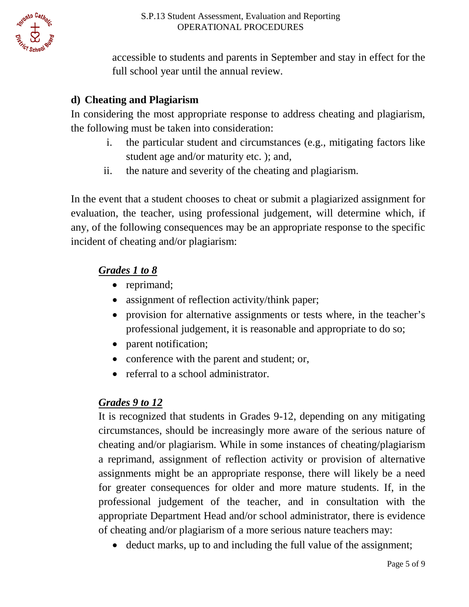

accessible to students and parents in September and stay in effect for the full school year until the annual review.

# **d) Cheating and Plagiarism**

In considering the most appropriate response to address cheating and plagiarism, the following must be taken into consideration:

- i. the particular student and circumstances (e.g., mitigating factors like student age and/or maturity etc. ); and,
- ii. the nature and severity of the cheating and plagiarism.

 In the event that a student chooses to cheat or submit a plagiarized assignment for evaluation, the teacher, using professional judgement, will determine which, if any, of the following consequences may be an appropriate response to the specific incident of cheating and/or plagiarism:

# *Grades 1 to 8*

- reprimand;
- assignment of reflection activity/think paper;
- • provision for alternative assignments or tests where, in the teacher's professional judgement, it is reasonable and appropriate to do so;
- parent notification;
- conference with the parent and student; or,
- referral to a school administrator.

# *Grades 9 to 12*

 circumstances, should be increasingly more aware of the serious nature of cheating and/or plagiarism. While in some instances of cheating/plagiarism for greater consequences for older and more mature students. If, in the professional judgement of the teacher, and in consultation with the appropriate Department Head and/or school administrator, there is evidence It is recognized that students in Grades 9-12, depending on any mitigating a reprimand, assignment of reflection activity or provision of alternative assignments might be an appropriate response, there will likely be a need of cheating and/or plagiarism of a more serious nature teachers may:

• deduct marks, up to and including the full value of the assignment;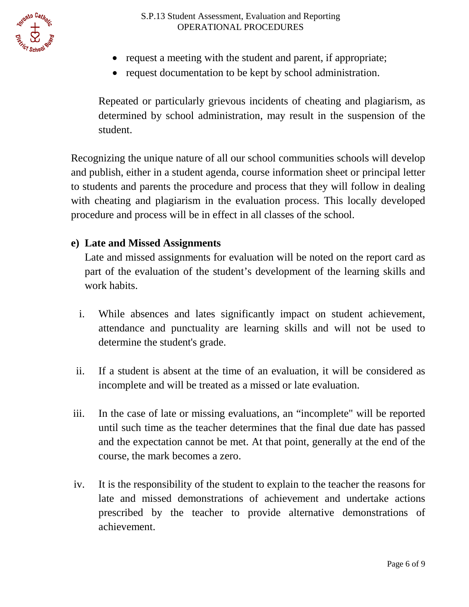- request a meeting with the student and parent, if appropriate;
- request documentation to be kept by school administration.

 Repeated or particularly grievous incidents of cheating and plagiarism, as determined by school administration, may result in the suspension of the student.

 Recognizing the unique nature of all our school communities schools will develop to students and parents the procedure and process that they will follow in dealing and publish, either in a student agenda, course information sheet or principal letter with cheating and plagiarism in the evaluation process. This locally developed procedure and process will be in effect in all classes of the school.

### **e) Late and Missed Assignments**

Late and missed assignments for evaluation will be noted on the report card as part of the evaluation of the student's development of the learning skills and work habits.

- attendance and punctuality are learning skills and will not be used to i. While absences and lates significantly impact on student achievement, determine the student's grade.
- ii. If a student is absent at the time of an evaluation, it will be considered as incomplete and will be treated as a missed or late evaluation.
- iii. In the case of late or missing evaluations, an "incomplete" will be reported and the expectation cannot be met. At that point, generally at the end of the until such time as the teacher determines that the final due date has passed course, the mark becomes a zero.
- iv. It is the responsibility of the student to explain to the teacher the reasons for late and missed demonstrations of achievement and undertake actions prescribed by the teacher to provide alternative demonstrations of achievement.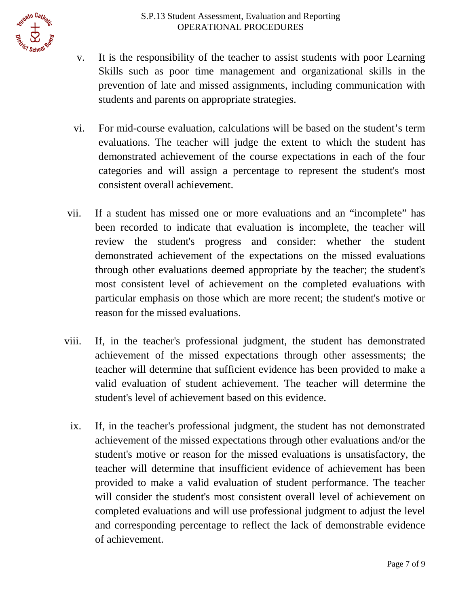

- v. It is the responsibility of the teacher to assist students with poor Learning Skills such as poor time management and organizational skills in the prevention of late and missed assignments, including communication with students and parents on appropriate strategies.
- evaluations. The teacher will judge the extent to which the student has demonstrated achievement of the course expectations in each of the four vi. For mid-course evaluation, calculations will be based on the student's term categories and will assign a percentage to represent the student's most consistent overall achievement.
- through other evaluations deemed appropriate by the teacher; the student's particular emphasis on those which are more recent; the student's motive or vii. If a student has missed one or more evaluations and an "incomplete" has been recorded to indicate that evaluation is incomplete, the teacher will review the student's progress and consider: whether the student demonstrated achievement of the expectations on the missed evaluations most consistent level of achievement on the completed evaluations with reason for the missed evaluations.
- valid evaluation of student achievement. The teacher will determine the viii. If, in the teacher's professional judgment, the student has demonstrated achievement of the missed expectations through other assessments; the teacher will determine that sufficient evidence has been provided to make a student's level of achievement based on this evidence.
	- ix. If, in the teacher's professional judgment, the student has not demonstrated achievement of the missed expectations through other evaluations and/or the student's motive or reason for the missed evaluations is unsatisfactory, the completed evaluations and will use professional judgment to adjust the level and corresponding percentage to reflect the lack of demonstrable evidence teacher will determine that insufficient evidence of achievement has been provided to make a valid evaluation of student performance. The teacher will consider the student's most consistent overall level of achievement on of achievement.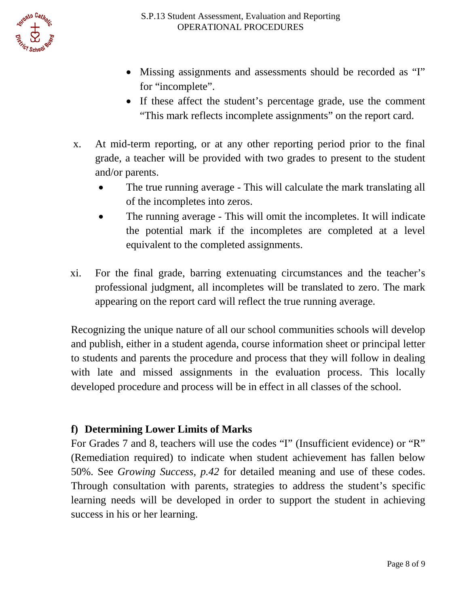

- Missing assignments and assessments should be recorded as "I" for "incomplete".
- • If these affect the student's percentage grade, use the comment "This mark reflects incomplete assignments" on the report card.
- x. At mid-term reporting, or at any other reporting period prior to the final grade, a teacher will be provided with two grades to present to the student and/or parents.
	- The true running average This will calculate the mark translating all of the incompletes into zeros.
	- The running average This will omit the incompletes. It will indicate the potential mark if the incompletes are completed at a level equivalent to the completed assignments.
- xi. For the final grade, barring extenuating circumstances and the teacher's professional judgment, all incompletes will be translated to zero. The mark appearing on the report card will reflect the true running average.

 Recognizing the unique nature of all our school communities schools will develop to students and parents the procedure and process that they will follow in dealing and publish, either in a student agenda, course information sheet or principal letter with late and missed assignments in the evaluation process. This locally developed procedure and process will be in effect in all classes of the school.

### **f) Determining Lower Limits of Marks**

 For Grades 7 and 8, teachers will use the codes "I" (Insufficient evidence) or "R" Through consultation with parents, strategies to address the student's specific (Remediation required) to indicate when student achievement has fallen below 50%. See *Growing Success, p.42* for detailed meaning and use of these codes. learning needs will be developed in order to support the student in achieving success in his or her learning.